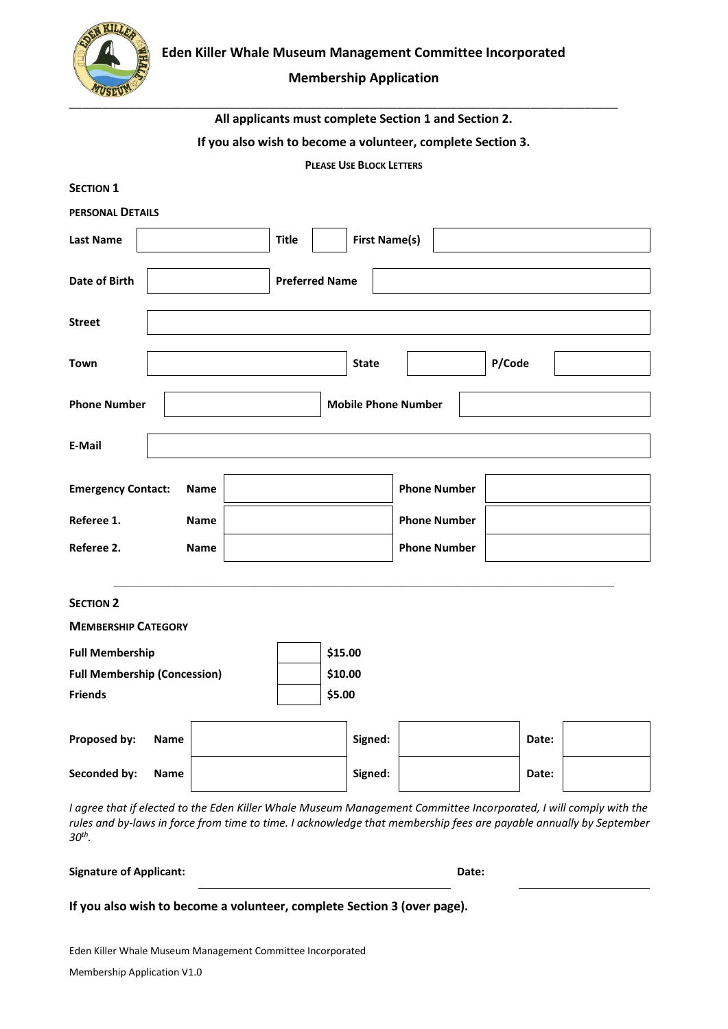

# **Membership Application**

| All applicants must complete Section 1 and Section 2. |  |  |
|-------------------------------------------------------|--|--|
|-------------------------------------------------------|--|--|

# **If you also wish to become a volunteer, complete Section 3.**

**PLEASE USE BLOCK LETTERS**

| <b>SECTION 1</b>                                                                                                  |                                      |                     |  |
|-------------------------------------------------------------------------------------------------------------------|--------------------------------------|---------------------|--|
| PERSONAL DETAILS                                                                                                  |                                      |                     |  |
| <b>Last Name</b>                                                                                                  | <b>First Name(s)</b><br><b>Title</b> |                     |  |
| Date of Birth                                                                                                     | <b>Preferred Name</b>                |                     |  |
| <b>Street</b>                                                                                                     |                                      |                     |  |
| Town                                                                                                              | <b>State</b>                         | P/Code              |  |
| <b>Phone Number</b>                                                                                               | <b>Mobile Phone Number</b>           |                     |  |
| E-Mail                                                                                                            |                                      |                     |  |
| <b>Emergency Contact:</b><br>Name                                                                                 |                                      | <b>Phone Number</b> |  |
| Referee 1.<br>Name                                                                                                |                                      | <b>Phone Number</b> |  |
| Referee 2.<br>Name                                                                                                |                                      | <b>Phone Number</b> |  |
| <b>SECTION 2</b>                                                                                                  |                                      |                     |  |
| <b>MEMBERSHIP CATEGORY</b>                                                                                        |                                      |                     |  |
| <b>Full Membership</b>                                                                                            | \$15.00                              |                     |  |
| <b>Full Membership (Concession)</b>                                                                               | \$10.00                              |                     |  |
| <b>Friends</b>                                                                                                    | \$5.00                               |                     |  |
| Proposed by:<br><b>Name</b>                                                                                       | Signed:                              | Date:               |  |
| Seconded by:<br>Name                                                                                              | Signed:                              | Date:               |  |
| I agree that if elected to the Eden Killer Whale Museum Management Committee Incorporated, I will comply with the |                                      |                     |  |

*rules and by-laws in force from time to time. I acknowledge that membership fees are payable annually by September 30th .* 

**Signature of Applicant: Date:**

**If you also wish to become a volunteer, complete Section 3 (over page).** 

Eden Killer Whale Museum Management Committee Incorporated